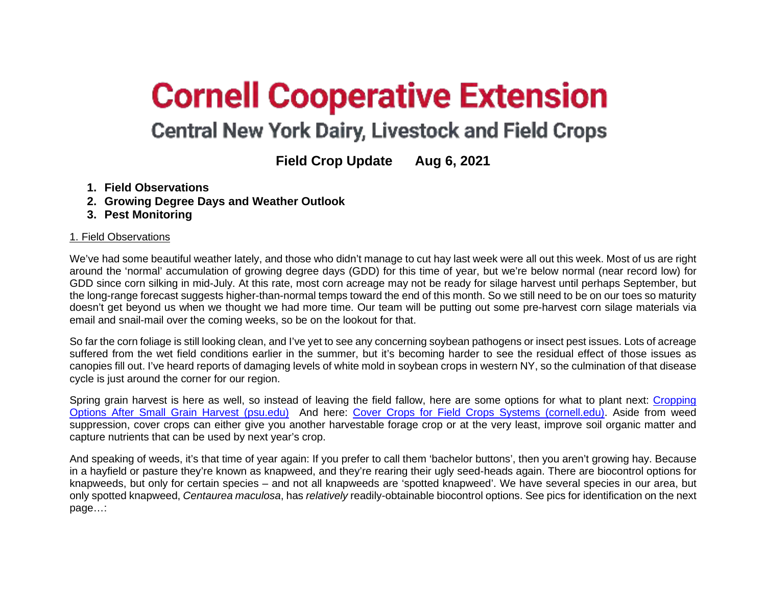# **Cornell Cooperative Extension**

## **Central New York Dairy, Livestock and Field Crops**

### **Field Crop Update Aug 6, 2021**

- **1. Field Observations**
- **2. Growing Degree Days and Weather Outlook**
- **3. Pest Monitoring**

#### 1. Field Observations

We've had some beautiful weather lately, and those who didn't manage to cut hay last week were all out this week. Most of us are right around the 'normal' accumulation of growing degree days (GDD) for this time of year, but we're below normal (near record low) for GDD since corn silking in mid-July. At this rate, most corn acreage may not be ready for silage harvest until perhaps September, but the long-range forecast suggests higher-than-normal temps toward the end of this month. So we still need to be on our toes so maturity doesn't get beyond us when we thought we had more time. Our team will be putting out some pre-harvest corn silage materials via email and snail-mail over the coming weeks, so be on the lookout for that.

So far the corn foliage is still looking clean, and I've yet to see any concerning soybean pathogens or insect pest issues. Lots of acreage suffered from the wet field conditions earlier in the summer, but it's becoming harder to see the residual effect of those issues as canopies fill out. I've heard reports of damaging levels of white mold in soybean crops in western NY, so the culmination of that disease cycle is just around the corner for our region.

Spring grain harvest is here as well, so instead of leaving the field fallow, here are some options for what to plant next: [Cropping](https://extension.psu.edu/cropping-options-after-small-grain-harvest#:%7E:text=%20Cropping%20Options%20After%20Small%20Grain%20Harvest%20,A%20third%20option%20that%20is%20gaining...%20More%20)  [Options After Small Grain Harvest \(psu.edu\)](https://extension.psu.edu/cropping-options-after-small-grain-harvest#:%7E:text=%20Cropping%20Options%20After%20Small%20Grain%20Harvest%20,A%20third%20option%20that%20is%20gaining...%20More%20) And here: [Cover Crops for Field Crops Systems \(cornell.edu\).](http://nmsp.cals.cornell.edu/publications/factsheets/factsheet93.pdf) Aside from weed suppression, cover crops can either give you another harvestable forage crop or at the very least, improve soil organic matter and capture nutrients that can be used by next year's crop.

And speaking of weeds, it's that time of year again: If you prefer to call them 'bachelor buttons', then you aren't growing hay. Because in a hayfield or pasture they're known as knapweed, and they're rearing their ugly seed-heads again. There are biocontrol options for knapweeds, but only for certain species – and not all knapweeds are 'spotted knapweed'. We have several species in our area, but only spotted knapweed, *Centaurea maculosa*, has *relatively* readily-obtainable biocontrol options. See pics for identification on the next page…: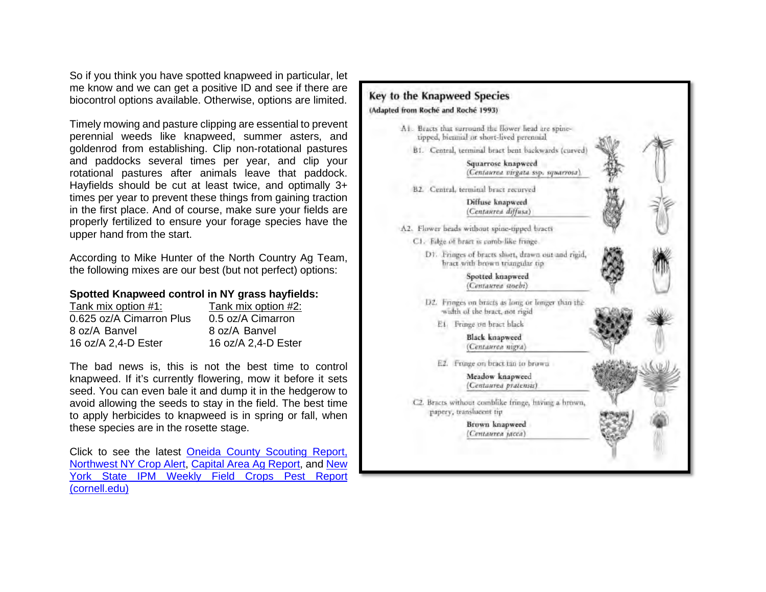So if you think you have spotted knapweed in particular, let me know and we can get a positive ID and see if there are biocontrol options available. Otherwise, options are limited.

Timely mowing and pasture clipping are essential to prevent perennial weeds like knapweed, summer asters, and goldenrod from establishing. Clip non-rotational pastures and paddocks several times per year, and clip your rotational pastures after animals leave that paddock. Hayfields should be cut at least twice, and optimally 3+ times per year to prevent these things from gaining traction in the first place. And of course, make sure your fields are properly fertilized to ensure your forage species have the upper hand from the start.

According to Mike Hunter of the North Country Ag Team, the following mixes are our best (but not perfect) options:

#### **Spotted Knapweed control in NY grass hayfields:**

| Tank mix option #2: |
|---------------------|
| 0.5 oz/A Cimarron   |
| 8 oz/A Banvel       |
| 16 oz/A 2,4-D Ester |
|                     |

The bad news is, this is not the best time to control knapweed. If it's currently flowering, mow it before it sets seed. You can even bale it and dump it in the hedgerow to avoid allowing the seeds to stay in the field. The best time to apply herbicides to knapweed is in spring or fall, when these species are in the rosette stage.

Click to see the latest [Oneida County Scouting Report,](http://cceoneida.com/agriculture/crop-production/current-crop-conditions) [Northwest NY Crop Alert,](https://blogs.cornell.edu/nwny-dairy-livestock-field-crops/) [Capital Area Ag Report,](https://blogs.cornell.edu/capitalareaagandhortprogram/category/capital-area-ag-report/) and [New](https://blogs.cornell.edu/ipmwpr/)  [York State IPM Weekly Field Crops Pest Report](https://blogs.cornell.edu/ipmwpr/)  [\(cornell.edu\)](https://blogs.cornell.edu/ipmwpr/)

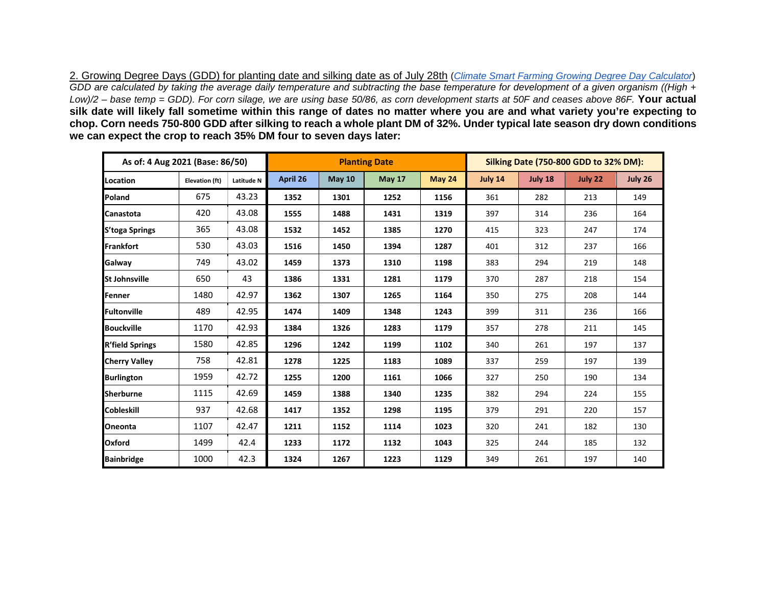2. Growing Degree Days (GDD) for planting date and silking date as of July 28th (*[Climate Smart Farming Growing Degree Day Calculator](http://climatesmartfarming.org/tools/csf-growing-degree-day-calculator)*) *GDD are calculated by taking the average daily temperature and subtracting the base temperature for development of a given organism ((High + Low)/2 – base temp = GDD). For corn silage, we are using base 50/86, as corn development starts at 50F and ceases above 86F.* **Your actual silk date will likely fall sometime within this range of dates no matter where you are and what variety you're expecting to chop. Corn needs 750-800 GDD after silking to reach a whole plant DM of 32%. Under typical late season dry down conditions we can expect the crop to reach 35% DM four to seven days later:**

| As of: 4 Aug 2021 (Base: 86/50) |                       |            | <b>Planting Date</b> |               |               |               | Silking Date (750-800 GDD to 32% DM): |         |         |         |
|---------------------------------|-----------------------|------------|----------------------|---------------|---------------|---------------|---------------------------------------|---------|---------|---------|
| Location                        | <b>Elevation (ft)</b> | Latitude N | April 26             | <b>May 10</b> | <b>May 17</b> | <b>May 24</b> | July 14                               | July 18 | July 22 | July 26 |
| Poland                          | 675                   | 43.23      | 1352                 | 1301          | 1252          | 1156          | 361                                   | 282     | 213     | 149     |
| <b>Canastota</b>                | 420                   | 43.08      | 1555                 | 1488          | 1431          | 1319          | 397                                   | 314     | 236     | 164     |
| <b>S'toga Springs</b>           | 365                   | 43.08      | 1532                 | 1452          | 1385          | 1270          | 415                                   | 323     | 247     | 174     |
| Frankfort                       | 530                   | 43.03      | 1516                 | 1450          | 1394          | 1287          | 401                                   | 312     | 237     | 166     |
| Galway                          | 749                   | 43.02      | 1459                 | 1373          | 1310          | 1198          | 383                                   | 294     | 219     | 148     |
| <b>St Johnsville</b>            | 650                   | 43         | 1386                 | 1331          | 1281          | 1179          | 370                                   | 287     | 218     | 154     |
| Fenner                          | 1480                  | 42.97      | 1362                 | 1307          | 1265          | 1164          | 350                                   | 275     | 208     | 144     |
| Fultonville                     | 489                   | 42.95      | 1474                 | 1409          | 1348          | 1243          | 399                                   | 311     | 236     | 166     |
| <b>Bouckville</b>               | 1170                  | 42.93      | 1384                 | 1326          | 1283          | 1179          | 357                                   | 278     | 211     | 145     |
| <b>R'field Springs</b>          | 1580                  | 42.85      | 1296                 | 1242          | 1199          | 1102          | 340                                   | 261     | 197     | 137     |
| <b>Cherry Valley</b>            | 758                   | 42.81      | 1278                 | 1225          | 1183          | 1089          | 337                                   | 259     | 197     | 139     |
| <b>Burlington</b>               | 1959                  | 42.72      | 1255                 | 1200          | 1161          | 1066          | 327                                   | 250     | 190     | 134     |
| <b>Sherburne</b>                | 1115                  | 42.69      | 1459                 | 1388          | 1340          | 1235          | 382                                   | 294     | 224     | 155     |
| <b>Cobleskill</b>               | 937                   | 42.68      | 1417                 | 1352          | 1298          | 1195          | 379                                   | 291     | 220     | 157     |
| <b>Oneonta</b>                  | 1107                  | 42.47      | 1211                 | 1152          | 1114          | 1023          | 320                                   | 241     | 182     | 130     |
| Oxford                          | 1499                  | 42.4       | 1233                 | 1172          | 1132          | 1043          | 325                                   | 244     | 185     | 132     |
| <b>Bainbridge</b>               | 1000                  | 42.3       | 1324                 | 1267          | 1223          | 1129          | 349                                   | 261     | 197     | 140     |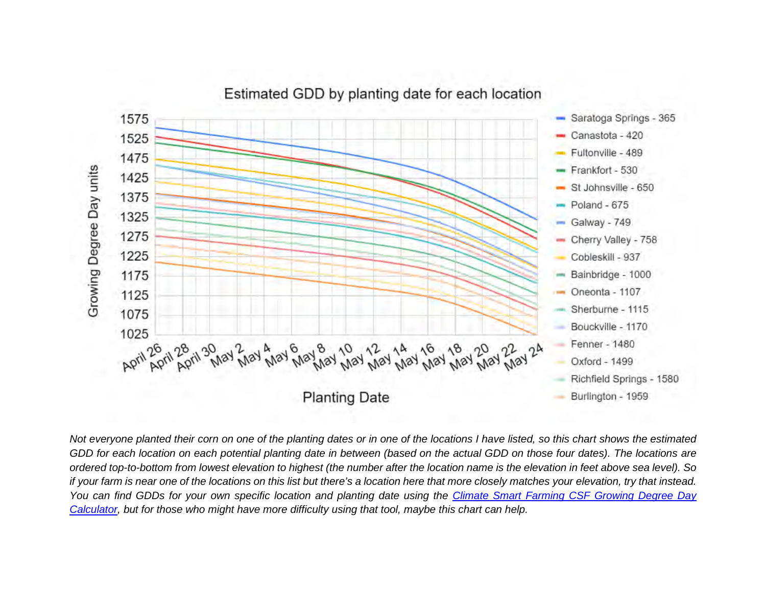

Estimated GDD by planting date for each location

*Not everyone planted their corn on one of the planting dates or in one of the locations I have listed, so this chart shows the estimated GDD for each location on each potential planting date in between (based on the actual GDD on those four dates). The locations are ordered top-to-bottom from lowest elevation to highest (the number after the location name is the elevation in feet above sea level). So if your farm is near one of the locations on this list but there's a location here that more closely matches your elevation, try that instead. You can find GDDs for your own specific location and planting date using the [Climate Smart Farming CSF Growing Degree Day](http://climatesmartfarming.org/tools/csf-growing-degree-day-calculator/)  [Calculator,](http://climatesmartfarming.org/tools/csf-growing-degree-day-calculator/) but for those who might have more difficulty using that tool, maybe this chart can help.*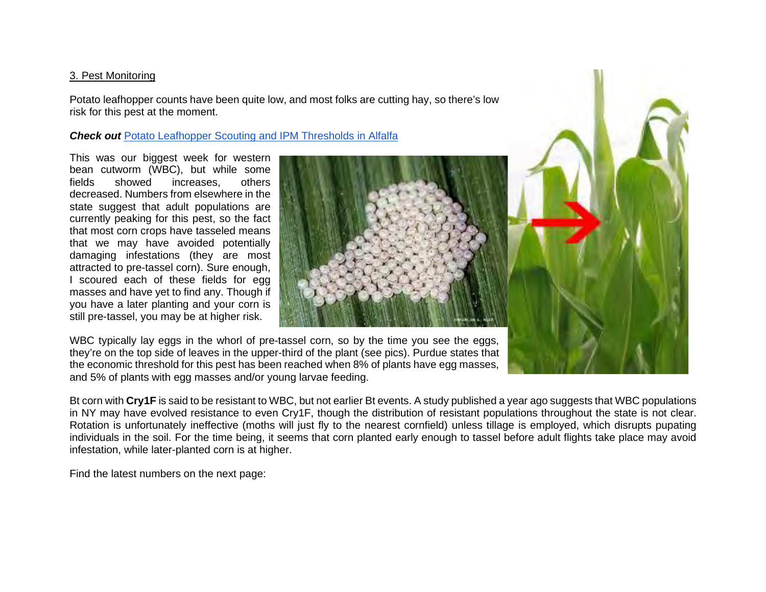#### 3. Pest Monitoring

Potato leafhopper counts have been quite low, and most folks are cutting hay, so there's low risk for this pest at the moment.

#### **Check out [Potato Leafhopper Scouting and IPM Thresholds](https://www.youtube.com/watch?v=52fiHubptPs) in Alfalfa**

This was our biggest week for western bean cutworm (WBC), but while some fields showed increases, others decreased. Numbers from elsewhere in the state suggest that adult populations are currently peaking for this pest, so the fact that most corn crops have tasseled means that we may have avoided potentially damaging infestations (they are most attracted to pre-tassel corn). Sure enough, I scoured each of these fields for egg masses and have yet to find any. Though if you have a later planting and your corn is still pre-tassel, you may be at higher risk.



WBC typically lay eggs in the whorl of pre-tassel corn, so by the time you see the eggs, they're on the top side of leaves in the upper-third of the plant (see pics). Purdue states that the economic threshold for this pest has been reached when 8% of plants have egg masses, and 5% of plants with egg masses and/or young larvae feeding.

Bt corn with **Cry1F** is said to be resistant to WBC, but not earlier Bt events. A study published a year ago suggests that WBC populations in NY may have evolved resistance to even Cry1F, though the distribution of resistant populations throughout the state is not clear. Rotation is unfortunately ineffective (moths will just fly to the nearest cornfield) unless tillage is employed, which disrupts pupating individuals in the soil. For the time being, it seems that corn planted early enough to tassel before adult flights take place may avoid infestation, while later-planted corn is at higher.

Find the latest numbers on the next page: